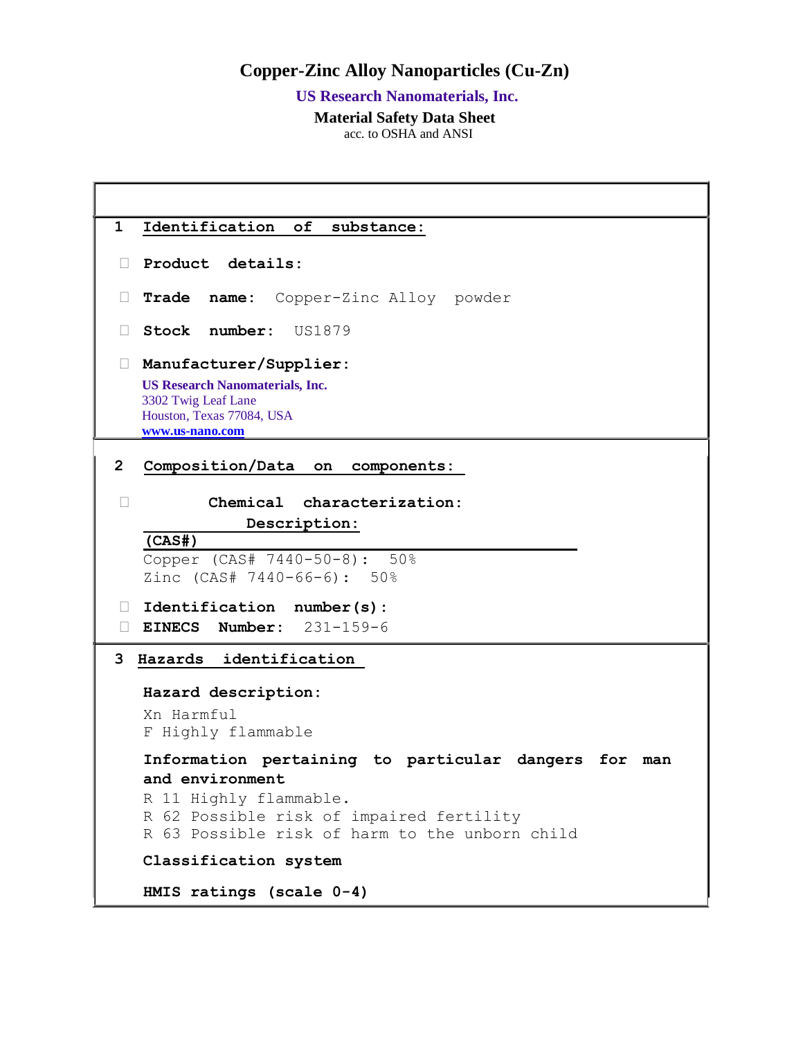## **Copper-Zinc Alloy Nanoparticles (Cu-Zn)**

 **US Research Nanomaterials, Inc.**

 **Material Safety Data Sheet**

acc. to OSHA and ANSI

```
1 Identification of substance:
 Product details: 
 Trade name: Copper-Zinc Alloy powder
 Stock number: US1879
 Manufacturer/Supplier: 
  US Research Nanomaterials, Inc.
  3302 Twig Leaf Lane
  Houston, Texas 77084, USA
  www.us-nano.com
2 Composition/Data on components: 
 Chemical characterization: 
              Description:
   (CAS#)
   Copper (CAS# 7440-50-8): 50%
   Zinc (CAS# 7440-66-6): 50%
 Identification number(s): 
 EINECS Number: 231-159-6
3 Hazards identification 
  Hazard description: 
  Xn Harmful 
   F Highly flammable 
   Information pertaining to particular dangers for man 
   and environment 
   R 11 Highly flammable. 
   R 62 Possible risk of impaired fertility 
   R 63 Possible risk of harm to the unborn child 
   Classification system 
   HMIS ratings (scale 0-4)
```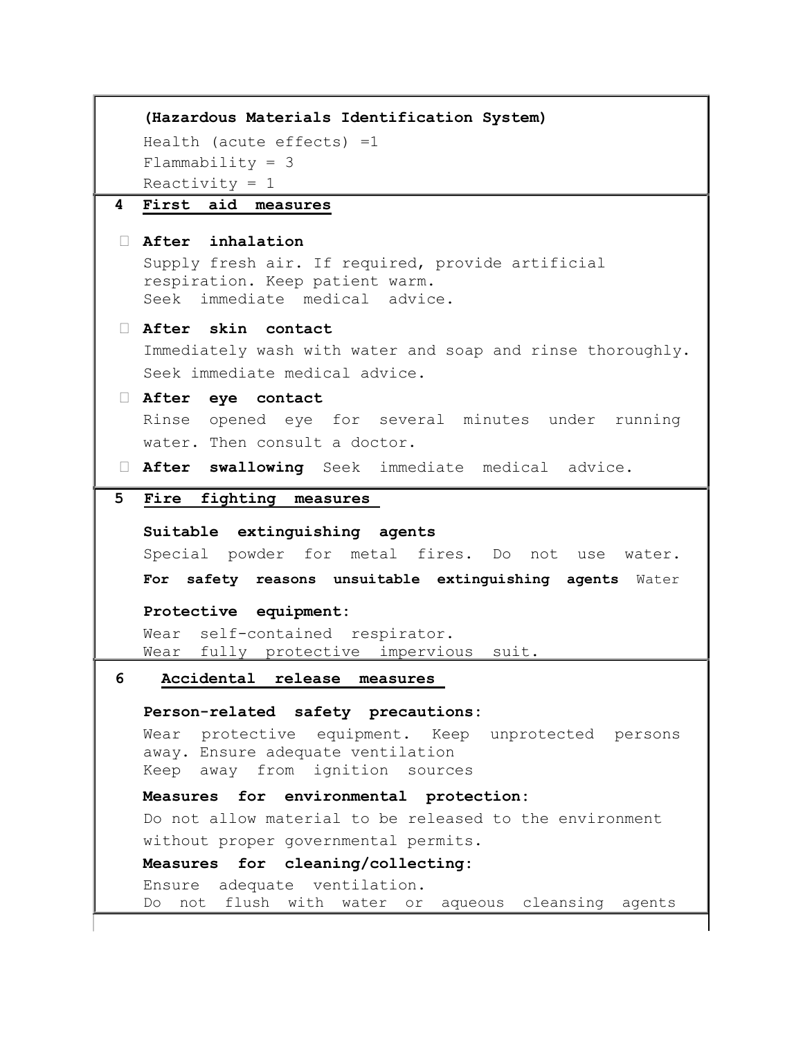```
 (Hazardous Materials Identification System)
  Health (acute effects) =1 
  Flammability = 3Reactivity = 14 First aid measures
 After inhalation 
  Supply fresh air. If required, provide artificial 
  respiration. Keep patient warm. 
  Seek immediate medical advice. 
 After skin contact 
  Immediately wash with water and soap and rinse thoroughly. 
  Seek immediate medical advice. 
 After eye contact 
  Rinse opened eye for several minutes under running 
  water. Then consult a doctor. 
 After swallowing Seek immediate medical advice.
5 Fire fighting measures 
  Suitable extinguishing agents 
  Special powder for metal fires. Do not use water. 
  For safety reasons unsuitable extinguishing agents Water
  Protective equipment: 
  Wear self-contained respirator. 
  Wear fully protective impervious suit. 
6 Accidental release measures 
  Person-related safety precautions: 
  Wear protective equipment. Keep unprotected persons 
  away. Ensure adequate ventilation 
  Keep away from ignition sources 
  Measures for environmental protection: 
  Do not allow material to be released to the environment 
  without proper governmental permits. 
  Measures for cleaning/collecting: 
  Ensure adequate ventilation. 
  Do not flush with water or aqueous cleansing agents
```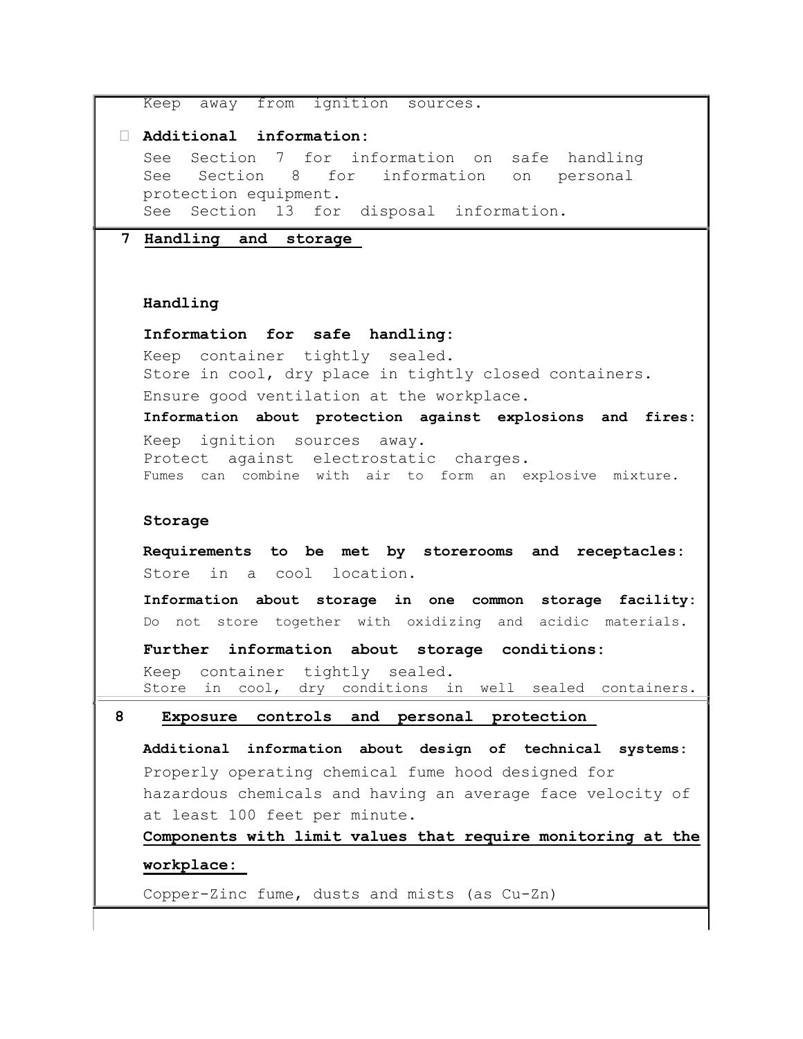```
Keep away from ignition sources.
 Additional information: 
  See Section 7 for information on safe handling 
  See Section 8 for information on personal 
  protection equipment. 
  See Section 13 for disposal information. 
7 Handling and storage 
  Handling 
  Information for safe handling: 
  Keep container tightly sealed. 
  Store in cool, dry place in tightly closed containers. 
  Ensure good ventilation at the workplace. 
  Information about protection against explosions and fires: 
  Keep ignition sources away. 
  Protect against electrostatic charges. 
  Fumes can combine with air to form an explosive mixture. 
  Storage 
  Requirements to be met by storerooms and receptacles: 
  Store in a cool location. 
  Information about storage in one common storage facility: 
  Do not store together with oxidizing and acidic materials. 
  Further information about storage conditions: 
  Keep container tightly sealed. 
  Store in cool, dry conditions in well sealed containers. 
8 Exposure controls and personal protection 
  Additional information about design of technical systems: 
  Properly operating chemical fume hood designed for 
  hazardous chemicals and having an average face velocity of 
  at least 100 feet per minute. 
  Components with limit values that require monitoring at the 
  workplace: 
  Copper-Zinc fume, dusts and mists (as Cu-Zn)
```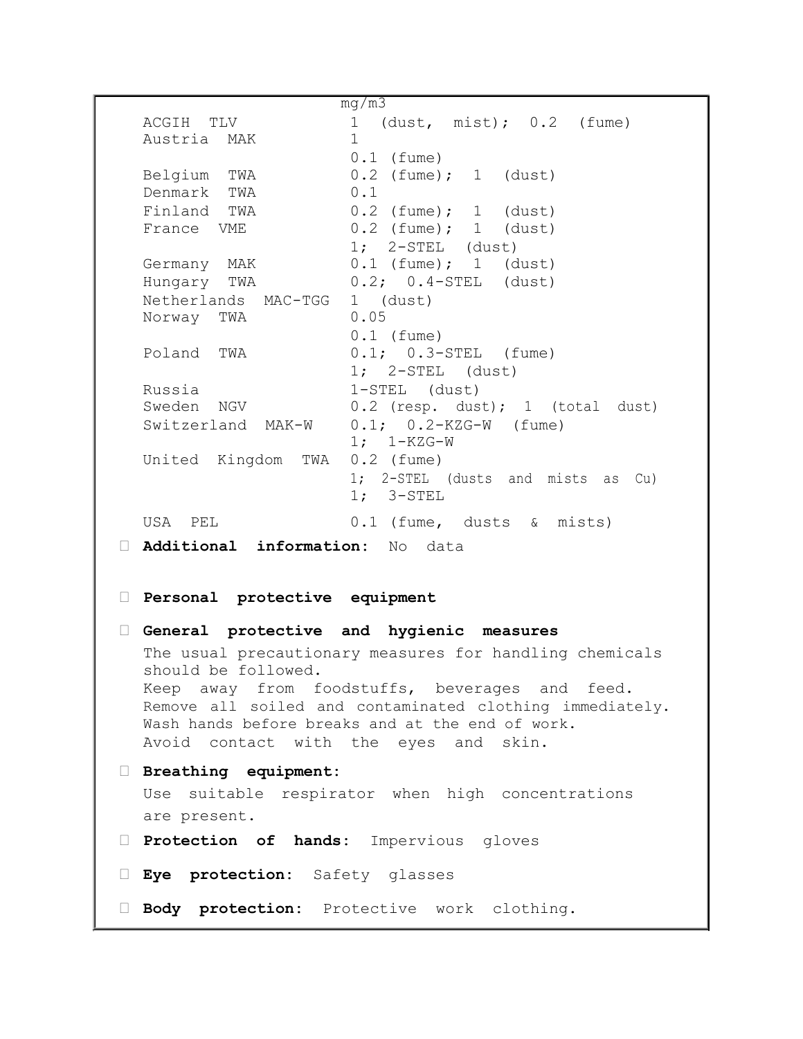mg/m3 ACGIH TLV 1 (dust, mist); 0.2 (fume) Austria MAK 1 0.1 (fume) Belgium TWA 0.2 (fume); 1 (dust) Denmark TWA 0.1 Finland TWA 0.2 (fume); 1 (dust) France VME 0.2 (fume); 1 (dust) 1; 2-STEL (dust) Germany MAK 0.1 (fume); 1 (dust) Hungary TWA 0.2; 0.4-STEL (dust) Netherlands MAC-TGG 1 (dust) Norway TWA 0.05 0.1 (fume) Poland TWA 0.1; 0.3-STEL (fume) 1; 2-STEL (dust) Russia 1-STEL (dust) Sweden NGV 0.2 (resp. dust); 1 (total dust) Switzerland MAK-W 0.1; 0.2-KZG-W (fume) 1; 1-KZG-W United Kingdom TWA 0.2 (fume) 1; 2-STEL (dusts and mists as Cu) 1; 3-STEL USA PEL 0.1 (fume, dusts & mists) **Additional information:** No data **Personal protective equipment General protective and hygienic measures**  The usual precautionary measures for handling chemicals should be followed. Keep away from foodstuffs, beverages and feed. Remove all soiled and contaminated clothing immediately. Wash hands before breaks and at the end of work. Avoid contact with the eyes and skin. **Breathing equipment:**  Use suitable respirator when high concentrations are present. **Protection of hands:** Impervious gloves **Eye protection:** Safety glasses **Body protection:** Protective work clothing.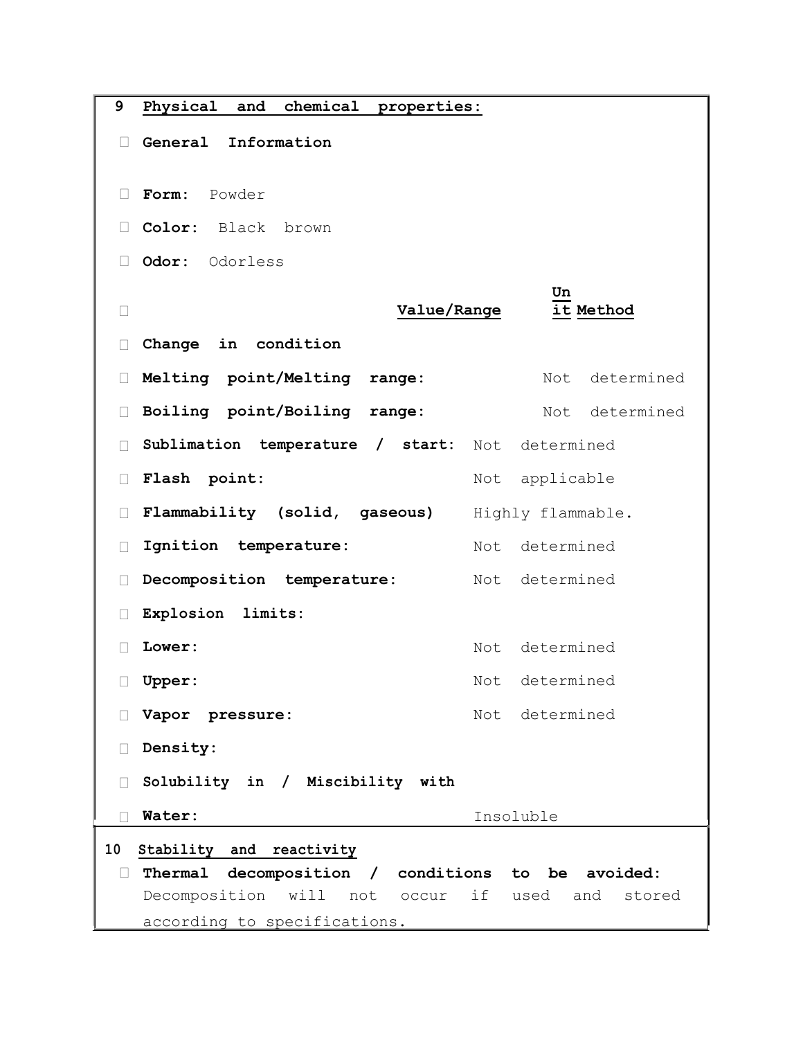| 9                                                           | Physical<br>and<br>chemical<br>properties: |             |                   |
|-------------------------------------------------------------|--------------------------------------------|-------------|-------------------|
| $\Box$                                                      | General<br>Information                     |             |                   |
| $\Box$                                                      | Powder<br>Form:                            |             |                   |
| $\Box$                                                      | Color: Black brown                         |             |                   |
|                                                             | Odor:<br>Odorless                          |             |                   |
| П                                                           |                                            | Value/Range | Un<br>it Method   |
|                                                             | Change in condition                        |             |                   |
| Ш                                                           | Melting point/Melting<br>range:            |             | determined<br>Not |
| Ш                                                           | Boiling point/Boiling<br>range:            |             | determined<br>Not |
| П                                                           | Sublimation temperature / start:           | Not         | determined        |
| Ш                                                           | Flash point:                               | Not         | applicable        |
|                                                             | Flammability (solid, gaseous)              |             | Highly flammable. |
| $\mathbf{L}$                                                | Ignition temperature:                      | Not         | determined        |
|                                                             | Decomposition temperature:                 | Not         | determined        |
| П                                                           | Explosion limits:                          |             |                   |
|                                                             | Lower:                                     | Not         | determined        |
| Ш                                                           | <b>Upper:</b>                              |             | Not determined    |
|                                                             | Vapor pressure:                            |             | Not determined    |
| $\Box$                                                      | Density:                                   |             |                   |
| Solubility in / Miscibility with<br>$\Box$                  |                                            |             |                   |
|                                                             | Water:                                     |             | Insoluble         |
| 10<br>Stability and reactivity                              |                                            |             |                   |
| Thermal decomposition / conditions to be avoided:<br>$\Box$ |                                            |             |                   |
| Decomposition will not occur if used and<br>stored          |                                            |             |                   |
| according to specifications.                                |                                            |             |                   |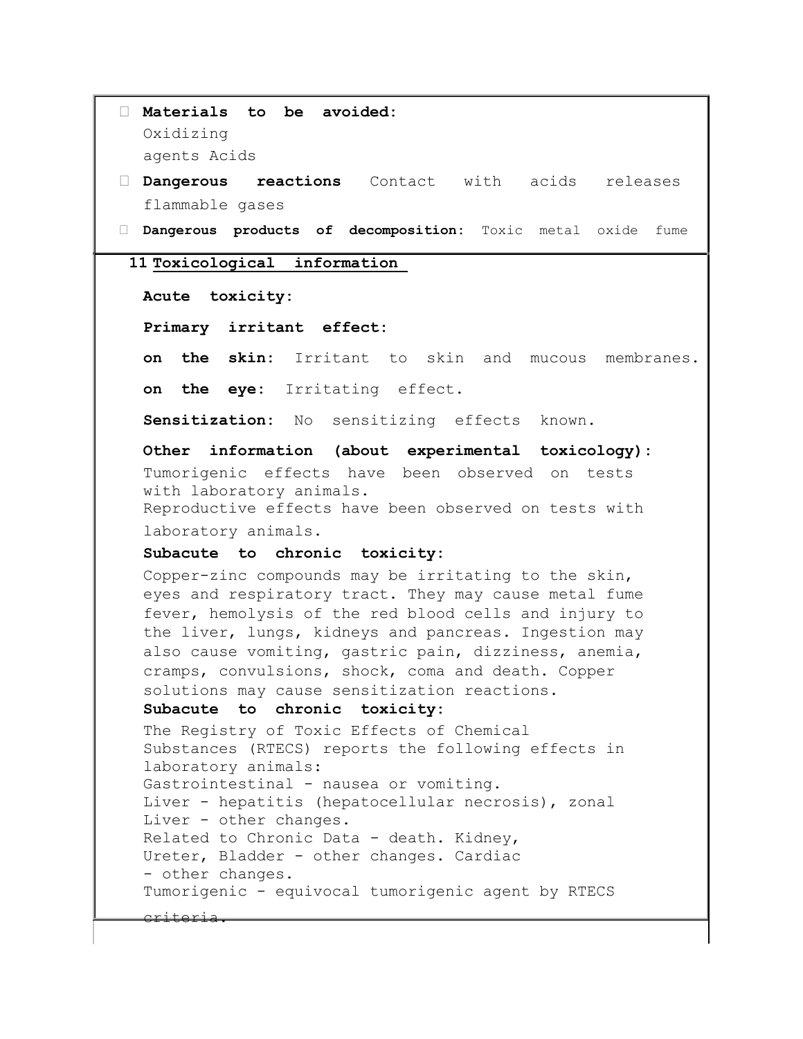```
 Materials to be avoided: 
  Oxidizing 
  agents Acids 
 Dangerous reactions Contact with acids releases 
  flammable gases 
 Dangerous products of decomposition: Toxic metal oxide fume
 11 Toxicological information 
  Acute toxicity: 
  Primary irritant effect: 
  on the skin: Irritant to skin and mucous membranes.
  on the eye: Irritating effect.
  Sensitization: No sensitizing effects known.
  Other information (about experimental toxicology): 
  Tumorigenic effects have been observed on tests 
  with laboratory animals. 
  Reproductive effects have been observed on tests with 
  laboratory animals. 
  Subacute to chronic toxicity: 
  Copper-zinc compounds may be irritating to the skin, 
  eyes and respiratory tract. They may cause metal fume 
  fever, hemolysis of the red blood cells and injury to 
  the liver, lungs, kidneys and pancreas. Ingestion may 
  also cause vomiting, gastric pain, dizziness, anemia, 
  cramps, convulsions, shock, coma and death. Copper 
  solutions may cause sensitization reactions. 
   Subacute to chronic toxicity: 
  The Registry of Toxic Effects of Chemical 
  Substances (RTECS) reports the following effects in 
  laboratory animals: 
  Gastrointestinal - nausea or vomiting. 
  Liver - hepatitis (hepatocellular necrosis), zonal 
  Liver - other changes. 
  Related to Chronic Data - death. Kidney, 
  Ureter, Bladder - other changes. Cardiac 
  - other changes. 
  Tumorigenic - equivocal tumorigenic agent by RTECS 
  criteria.
```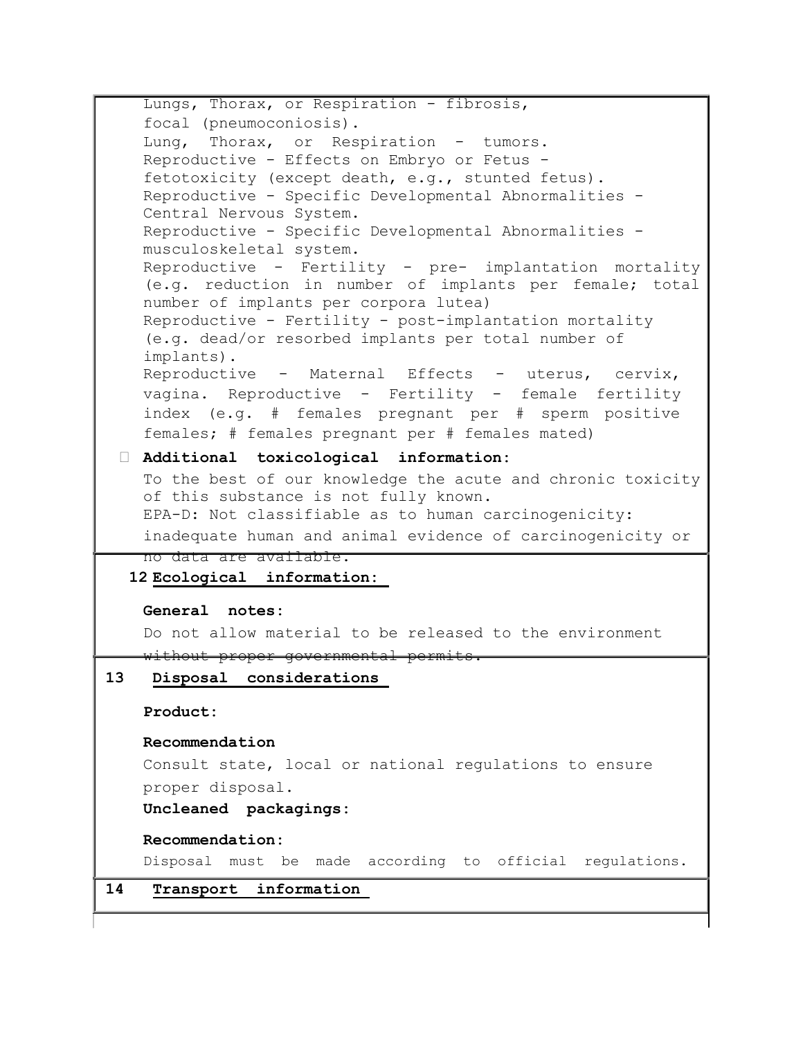Lungs, Thorax, or Respiration - fibrosis, focal (pneumoconiosis). Lung, Thorax, or Respiration - tumors. Reproductive - Effects on Embryo or Fetus fetotoxicity (except death, e.g., stunted fetus). Reproductive - Specific Developmental Abnormalities - Central Nervous System. Reproductive - Specific Developmental Abnormalities musculoskeletal system. Reproductive - Fertility - pre- implantation mortality (e.g. reduction in number of implants per female; total number of implants per corpora lutea) Reproductive - Fertility - post-implantation mortality (e.g. dead/or resorbed implants per total number of implants). Reproductive - Maternal Effects - uterus, cervix, vagina. Reproductive - Fertility - female fertility index (e.g. # females pregnant per # sperm positive females; # females pregnant per # females mated) **Additional toxicological information:**  To the best of our knowledge the acute and chronic toxicity of this substance is not fully known. EPA-D: Not classifiable as to human carcinogenicity: inadequate human and animal evidence of carcinogenicity or no data are available. **12 Ecological information: General notes:**  Do not allow material to be released to the environment without proper governmental permits. **13 Disposal considerations Product: Recommendation**  Consult state, local or national regulations to ensure proper disposal. **Uncleaned packagings: Recommendation:**  Disposal must be made according to official regulations. **14 Transport information**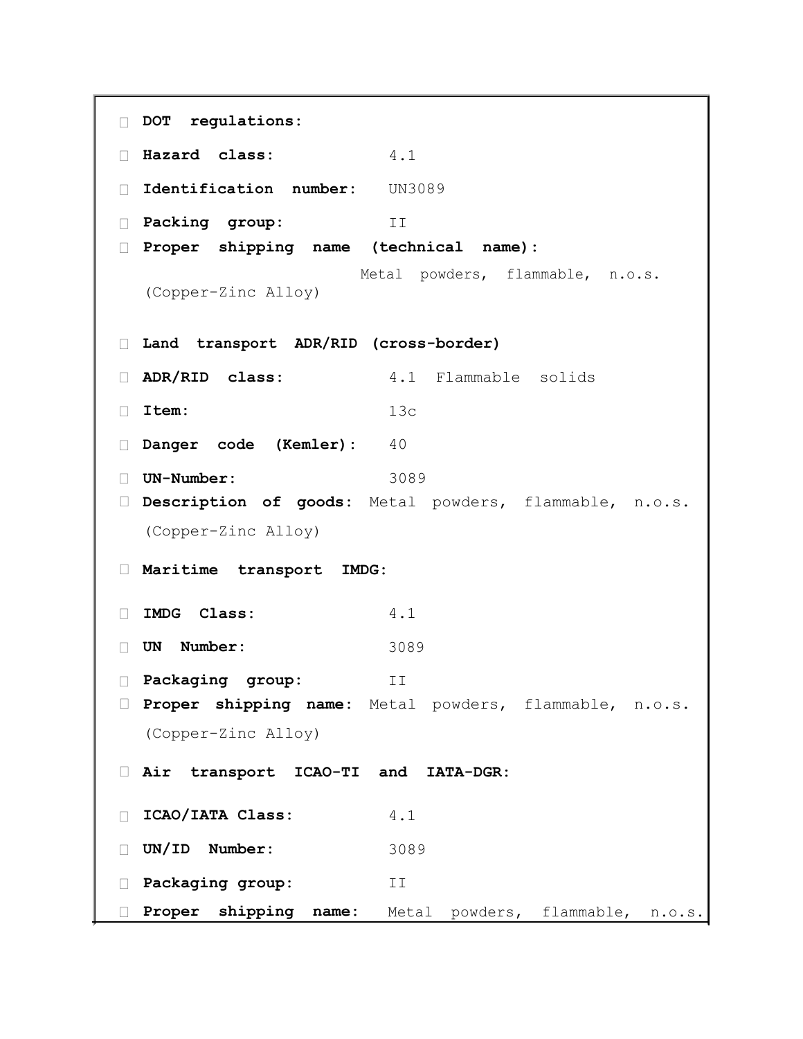```
 DOT regulations:
 Hazard class: 4.1
 Identification number: UN3089
 Packing group: II
 Proper shipping name (technical name):
  (Copper-Zinc Alloy)
                    Metal powders, flammable, n.o.s.
 Land transport ADR/RID (cross-border)
 ADR/RID class: 4.1 Flammable solids
 Item: 13c
Danger code (Kemler): 40
 UN-Number: 3089
 Description of goods: Metal powders, flammable, n.o.s.
  (Copper-Zinc Alloy) 
 Maritime transport IMDG: 
 IMDG Class: 4.1
 UN Number: 3089
 Packaging group: II
 Proper shipping name: Metal powders, flammable, n.o.s.
  (Copper-Zinc Alloy) 
 Air transport ICAO-TI and IATA-DGR: 
 ICAO/IATA Class: 4.1
 UN/ID Number: 3089
 Packaging group: II
 Proper shipping name: Metal powders, flammable, n.o.s.
```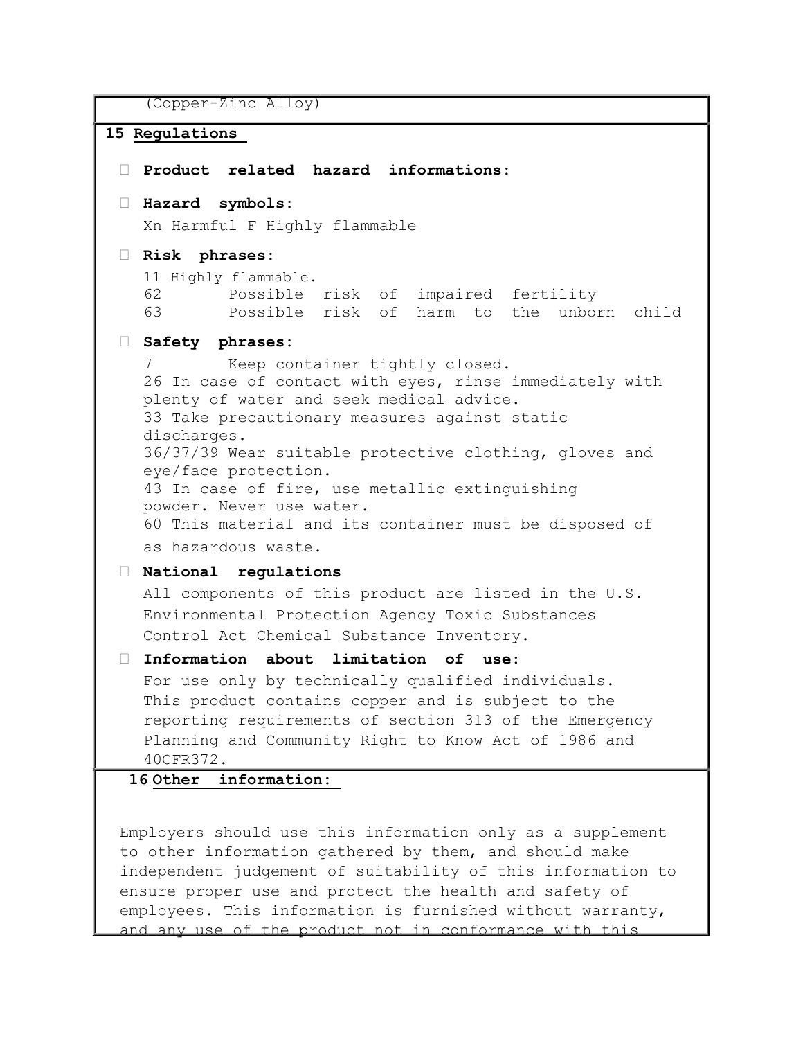(Copper-Zinc Alloy)

```
15 Regulations 
  Product related hazard informations: 
  Hazard symbols: 
   Xn Harmful F Highly flammable 
  Risk phrases: 
   11 Highly flammable. 
    62 Possible risk of impaired fertility 
    63 Possible risk of harm to the unborn child 
  Safety phrases: 
   7 Keep container tightly closed. 
   26 In case of contact with eyes, rinse immediately with 
   plenty of water and seek medical advice.
   33 Take precautionary measures against static 
   discharges.
   36/37/39 Wear suitable protective clothing, gloves and 
   eye/face protection.
   43 In case of fire, use metallic extinguishing 
   powder. Never use water.
   60 This material and its container must be disposed of 
   as hazardous waste.
  National regulations 
   All components of this product are listed in the U.S. 
   Environmental Protection Agency Toxic Substances 
   Control Act Chemical Substance Inventory. 
  Information about limitation of use: 
   For use only by technically qualified individuals. 
   This product contains copper and is subject to the 
   reporting requirements of section 313 of the Emergency 
   Planning and Community Right to Know Act of 1986 and 
    40CFR372. 
  16 Other information:
```
Employers should use this information only as a supplement to other information gathered by them, and should make independent judgement of suitability of this information to ensure proper use and protect the health and safety of employees. This information is furnished without warranty, and any use of the product not in conformance with this